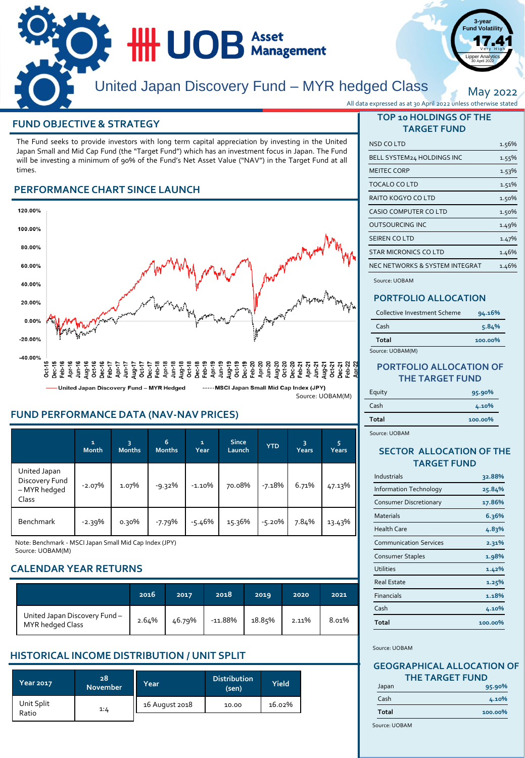

## **FUND OBJECTIVE & STRATEGY**

The Fund seeks to provide investors with long term capital appreciation by investing in the United Japan Small and Mid Cap Fund (the "Target Fund") which has an investment focus in Japan. The Fund will be investing a minimum of 90% of the Fund's Net Asset Value ("NAV") in the Target Fund at all times.

# **PERFORMANCE CHART SINCE LAUNCH**



## **FUND PERFORMANCE DATA (NAV-NAV PRICES)**

|                                                         | $\mathbf{1}$<br><b>Month</b> | з<br><b>Months</b> | 6<br><b>Months</b> | $\mathbf{1}$<br>Year | <b>Since</b><br>Launch | <b>YTD</b> | 3<br>Years | 5<br>Years |
|---------------------------------------------------------|------------------------------|--------------------|--------------------|----------------------|------------------------|------------|------------|------------|
| United Japan<br>Discovery Fund<br>- MYR hedged<br>Class | $-2.07%$                     | 1.07%              | $-9.32%$           | $-1.10%$             | 70.08%                 | $-7.18%$   | 6.71%      | 47.13%     |
| <b>Benchmark</b>                                        | -2.39%                       | ი.ვი%              | $-7.79%$           | $-5.46%$             | 15.36%                 | $-5.20%$   | 7.84%      | 13.43%     |

Note: Benchmark - MSCI Japan Small Mid Cap Index (JPY) Source: UOBAM(M)

# **CALENDAR YEAR RETURNS**

|                                                  | 2016  | 2017   | 2018      | 2019   | 2020  | 2021  |
|--------------------------------------------------|-------|--------|-----------|--------|-------|-------|
| United Japan Discovery Fund-<br>MYR hedged Class | 2.64% | 46.79% | $-11.88%$ | 18.85% | 2.11% | 8.01% |

# **HISTORICAL INCOME DISTRIBUTION / UNIT SPLIT**

| Year 2017           | 28<br><b>November</b> | Year           | <b>Distribution</b><br>(sen) | Yield  |
|---------------------|-----------------------|----------------|------------------------------|--------|
| Unit Split<br>Ratio | 1:4                   | 16 August 2018 | 10.00                        | 16.02% |

| All data expressed as at 30 April 2022 unless otherwise stated |  |  |  |
|----------------------------------------------------------------|--|--|--|
|                                                                |  |  |  |

**3-year Fund Volatility**  $17.41$ Lipper Analytics 30 April 2022

May 2022

## **TOP 10 HOLDINGS OF THE TARGET FUND**

| NSD CO LTD                     | 1.56% |
|--------------------------------|-------|
| BELL SYSTEM24 HOLDINGS INC     | 1.55% |
| <b>MEITEC CORP</b>             | 1.53% |
| TOCALO CO LTD                  | 1.51% |
| RAITO KOGYO CO LTD             | 1.50% |
| <b>CASIO COMPUTER CO LTD</b>   | 1.50% |
| <b>OUTSOURCING INC</b>         | 1.49% |
| SEIREN COLTD                   | 1.47% |
| <b>STAR MICRONICS CO LTD</b>   | 1.46% |
| NEC NETWORKS & SYSTEM INTEGRAT | 1.46% |

Source: UOBAM

## **PORTFOLIO ALLOCATION**

| Collective Investment Scheme | 94.16%  |
|------------------------------|---------|
| Cash                         | 5.84%   |
| Total                        | 100.00% |
| Source: UOBAM(M)             |         |

### **PORTFOLIO ALLOCATION OF THE TARGET FUND**

| Equity | 95.90%  |
|--------|---------|
| Cash   | 4.10%   |
| Total  | 100.00% |

Source: UOBAM

### **SECTOR ALLOCATION OF THE TARGET FUND**

| Industrials                   | 32.88%  |
|-------------------------------|---------|
| Information Technology        | 25.84%  |
| Consumer Discretionary        | 17.86%  |
| <b>Materials</b>              | 6.36%   |
| <b>Health Care</b>            | 4.83%   |
| <b>Communication Services</b> | 2.31%   |
| Consumer Staples              | 1.98%   |
| <b>Utilities</b>              | 1.42%   |
| <b>Real Estate</b>            | 1.25%   |
| <b>Financials</b>             | 1.18%   |
| Cash                          | 4.10%   |
| Total                         | 100.00% |

Source: UOBAM

#### **GEOGRAPHICAL ALLOCATION OF THE TARGET FUND**

| Japan        | 95.90%  |
|--------------|---------|
| Cash         | 4.10%   |
| <b>Total</b> | 100.00% |

Source: UOBAM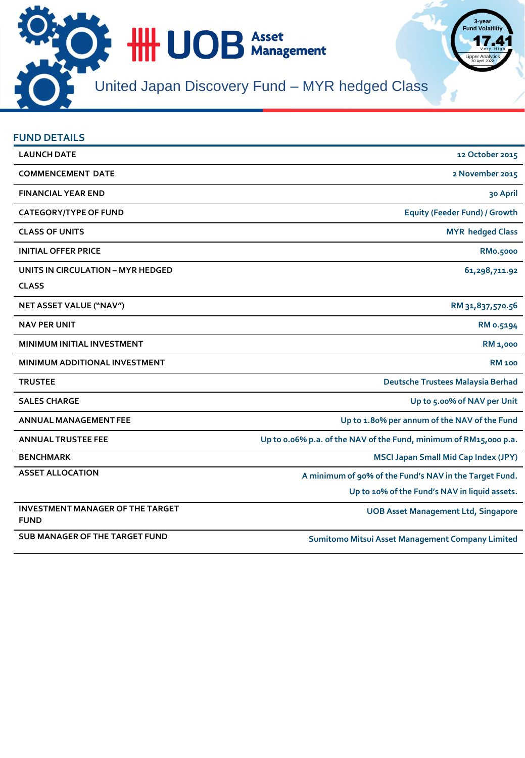

| <b>FUND DETAILS</b>                     |                                                                   |
|-----------------------------------------|-------------------------------------------------------------------|
| <b>LAUNCH DATE</b>                      | 12 October 2015                                                   |
| <b>COMMENCEMENT DATE</b>                | 2 November 2015                                                   |
| <b>FINANCIAL YEAR END</b>               | 30 April                                                          |
| <b>CATEGORY/TYPE OF FUND</b>            | <b>Equity (Feeder Fund) / Growth</b>                              |
| <b>CLASS OF UNITS</b>                   | <b>MYR</b> hedged Class                                           |
| <b>INITIAL OFFER PRICE</b>              | <b>RMo.5000</b>                                                   |
| UNITS IN CIRCULATION - MYR HEDGED       | 61,298,711.92                                                     |
| <b>CLASS</b>                            |                                                                   |
| NET ASSET VALUE ("NAV")                 | RM 31,837,570.56                                                  |
| <b>NAV PER UNIT</b>                     | RM 0.5194                                                         |
| MINIMUM INITIAL INVESTMENT              | <b>RM 1,000</b>                                                   |
| MINIMUM ADDITIONAL INVESTMENT           | <b>RM</b> 100                                                     |
| <b>TRUSTEE</b>                          | Deutsche Trustees Malaysia Berhad                                 |
| <b>SALES CHARGE</b>                     | Up to 5.00% of NAV per Unit                                       |
| <b>ANNUAL MANAGEMENT FEE</b>            | Up to 1.80% per annum of the NAV of the Fund                      |
| <b>ANNUAL TRUSTEE FEE</b>               | Up to 0.06% p.a. of the NAV of the Fund, minimum of RM15,000 p.a. |
| <b>BENCHMARK</b>                        | <b>MSCI Japan Small Mid Cap Index (JPY)</b>                       |
| <b>ASSET ALLOCATION</b>                 | A minimum of 90% of the Fund's NAV in the Target Fund.            |
|                                         | Up to 10% of the Fund's NAV in liquid assets.                     |
| <b>INVESTMENT MANAGER OF THE TARGET</b> | <b>UOB Asset Management Ltd, Singapore</b>                        |
| <b>FUND</b>                             |                                                                   |
| <b>SUB MANAGER OF THE TARGET FUND</b>   | Sumitomo Mitsui Asset Management Company Limited                  |